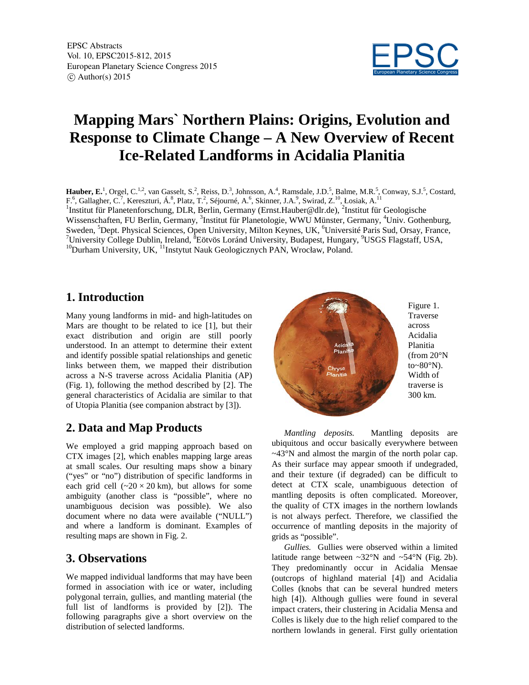

# **Mapping Mars` Northern Plains: Origins, Evolution and Response to Climate Change – A New Overview of Recent Ice-Related Landforms in Acidalia Planitia**

Hauber, E.<sup>1</sup>, Orgel, C.<sup>1,2</sup>, van Gasselt, S.<sup>2</sup>, Reiss, D.<sup>3</sup>, Johnsson, A.<sup>4</sup>, Ramsdale, J.D.<sup>5</sup>, Balme, M.R.<sup>5</sup>, Conway, S.J.<sup>5</sup>, Costard, F.<sup>6</sup>, Gallagher, C.<sup>7</sup>, Kereszturi, Á.<sup>8</sup>, Platz, T.<sup>2</sup>, Séjourné, A.<sup>6</sup>, Skinner, J.A.<sup>9</sup>, Swirad, Z.<sup>10</sup>, Łosiak, A.<sup>11</sup><br><sup>1</sup>Institut für Planetenforschung, DLR, Berlin, Germany (Ernst.Hauber@dlr.de), <sup>2</sup>Institut für Geo Wissenschaften, FU Berlin, Germany, <sup>3</sup>Institut für Planetologie, WWU Münster, Germany, <sup>4</sup>Univ. Gothenburg, Sweden, <sup>5</sup>Dept. Physical Sciences, Open University, Milton Keynes, UK, <sup>6</sup>Université Paris Sud, Orsay, France, <sup>7</sup>University Collage Dublin, Jealand, <sup>8</sup>Eötvös Logánd University, Pudapest, Hungary, <sup>9</sup>USGS, Flogátoff, USA <sup>7</sup>University College Dublin, Ireland, <sup>8</sup>Eötvös Loránd University, Budapest, Hungary, <sup>9</sup>USGS Flagstaff, USA, <sup>10</sup>Durham University, UK, <sup>11</sup>Instytut Nauk Geologicznych PAN, Wrocław, Poland.

### **1. Introduction**

Many young landforms in mid- and high-latitudes on Mars are thought to be related to ice [1], but their exact distribution and origin are still poorly understood. In an attempt to determine their extent and identify possible spatial relationships and genetic links between them, we mapped their distribution across a N-S traverse across Acidalia Planitia (AP) (Fig. 1), following the method described by [2]. The general characteristics of Acidalia are similar to that of Utopia Planitia (see companion abstract by [3]).

## **2. Data and Map Products**

We employed a grid mapping approach based on CTX images [2], which enables mapping large areas at small scales. Our resulting maps show a binary ("yes" or "no") distribution of specific landforms in each grid cell  $({\sim}20 \times 20 \text{ km})$ , but allows for some ambiguity (another class is "possible", where no unambiguous decision was possible). We also document where no data were available ("NULL") and where a landform is dominant. Examples of resulting maps are shown in Fig. 2.

### **3. Observations**

We mapped individual landforms that may have been formed in association with ice or water, including polygonal terrain, gullies, and mantling material (the full list of landforms is provided by [2]). The following paragraphs give a short overview on the distribution of selected landforms.



*Mantling deposits.* Mantling deposits are ubiquitous and occur basically everywhere between ~43°N and almost the margin of the north polar cap. As their surface may appear smooth if undegraded, and their texture (if degraded) can be difficult to detect at CTX scale, unambiguous detection of mantling deposits is often complicated. Moreover, the quality of CTX images in the northern lowlands is not always perfect. Therefore, we classified the occurrence of mantling deposits in the majority of grids as "possible".

*Gullies.* Gullies were observed within a limited latitude range between  $\sim 32^\circ N$  and  $\sim 54^\circ N$  (Fig. 2b). They predominantly occur in Acidalia Mensae (outcrops of highland material [4]) and Acidalia Colles (knobs that can be several hundred meters high [4]). Although gullies were found in several impact craters, their clustering in Acidalia Mensa and Colles is likely due to the high relief compared to the northern lowlands in general. First gully orientation